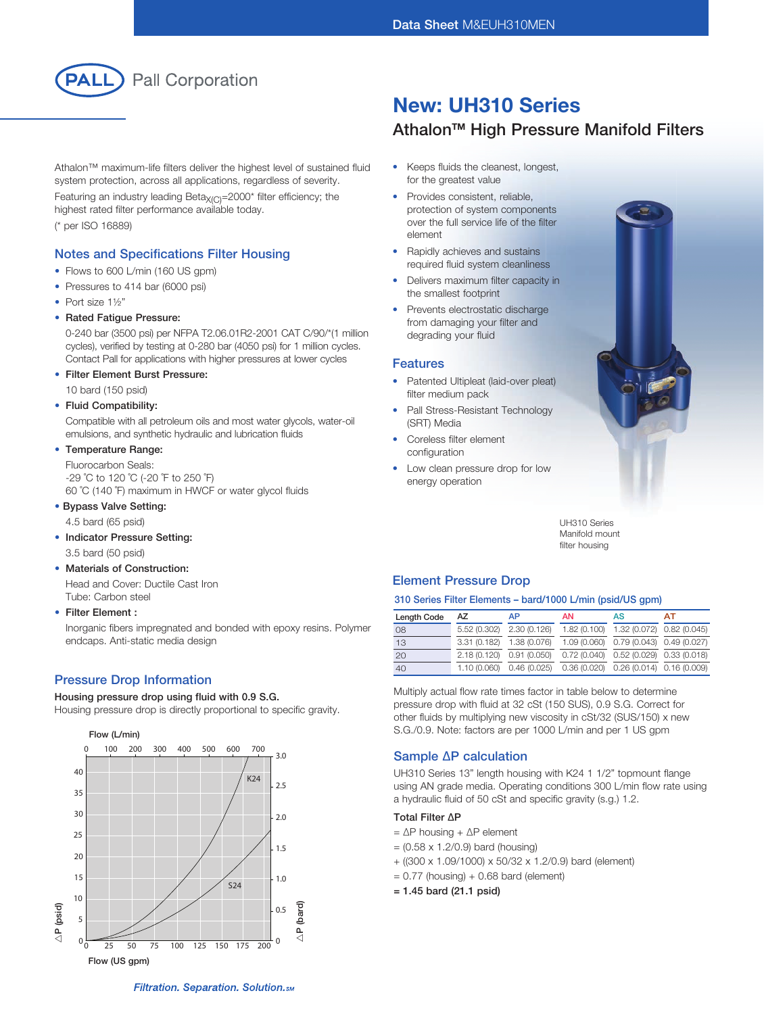

Athalon™ maximum-life filters deliver the highest level of sustained fluid system protection, across all applications, regardless of severity.

Featuring an industry leading Beta $X_{(C)}$ =2000\* filter efficiency; the highest rated filter performance available today. (\* per ISO 16889)

## Notes and Specifications Filter Housing

- Flows to 600 L/min (160 US gpm)
- Pressures to 414 bar (6000 psi)
- Port size 1½"
- Rated Fatigue Pressure:

 0-240 bar (3500 psi) per NFPA T2.06.01R2-2001 CAT C/90/\*(1 million cycles), verified by testing at 0-280 bar (4050 psi) for 1 million cycles. Contact Pall for applications with higher pressures at lower cycles

• Filter Element Burst Pressure:

10 bard (150 psid)

#### • Fluid Compatibility:

 Compatible with all petroleum oils and most water glycols, water-oil emulsions, and synthetic hydraulic and lubrication fluids

• Temperature Range:

 Fluorocarbon Seals: -29 ˚C to 120 ˚C (-20 ˚F to 250 ˚F) 60 ˚C (140 ˚F) maximum in HWCF or water glycol fluids

# • Bypass Valve Setting:

- 4.5 bard (65 psid)
- Indicator Pressure Setting: 3.5 bard (50 psid)
- Materials of Construction:

 Head and Cover: Ductile Cast Iron Tube: Carbon steel

• Filter Element :

 Inorganic fibers impregnated and bonded with epoxy resins. Polymer endcaps. Anti-static media design

## Pressure Drop Information

#### Housing pressure drop using fluid with 0.9 S.G.

Housing pressure drop is directly proportional to specific gravity.



# New: UH310 Series

# Athalon<sup>™</sup> High Pressure Manifold Filters

- Keeps fluids the cleanest, longest, for the greatest value
- Provides consistent, reliable, protection of system components over the full service life of the filter element
- Rapidly achieves and sustains required fluid system cleanliness
- Delivers maximum filter capacity in the smallest footprint
- Prevents electrostatic discharge from damaging your filter and degrading your fluid

#### Features

- Patented Ultipleat (laid-over pleat) filter medium pack
- Pall Stress-Resistant Technology (SRT) Media
- Coreless filter element configuration
- Low clean pressure drop for low energy operation



UH310 Series Manifold mount filter housing

## Element Pressure Drop

#### 310 Series Filter Elements – bard/1000 L/min (psid/US gpm)

| <b>Length Code</b> | AZ                        | AP                                                               | <b>AN</b> | AS                                        | AT |
|--------------------|---------------------------|------------------------------------------------------------------|-----------|-------------------------------------------|----|
| 08                 | 5.52 (0.302)              | 2.30 (0.126)                                                     |           | 1.82 (0.100) 1.32 (0.072) 0.82 (0.045)    |    |
| 13                 | 3.31 (0.182) 1.38 (0.076) |                                                                  |           | 1.09 (0.060) 0.79 (0.043) 0.49 (0.027)    |    |
| 20                 |                           | 2.18 (0.120) 0.91 (0.050)                                        |           | $0.72(0.040)$ $0.52(0.029)$ $0.33(0.018)$ |    |
| 40                 |                           | 1.10 (0.060) 0.46 (0.025) 0.36 (0.020) 0.26 (0.014) 0.16 (0.009) |           |                                           |    |

Multiply actual flow rate times factor in table below to determine pressure drop with fluid at 32 cSt (150 SUS), 0.9 S.G. Correct for other fluids by multiplying new viscosity in cSt/32 (SUS/150) x new S.G./0.9. Note: factors are per 1000 L/min and per 1 US gpm

## Sample ∆P calculation

UH310 Series 13" length housing with K24 1 1/2" topmount flange using AN grade media. Operating conditions 300 L/min flow rate using a hydraulic fluid of 50 cSt and specific gravity (s.g.) 1.2.

#### Total Filter ∆P

- = ∆P housing + ∆P element
- $= (0.58 \times 1.2/0.9)$  bard (housing)
- + ((300 x 1.09/1000) x 50/32 x 1.2/0.9) bard (element)
- $= 0.77$  (housing) + 0.68 bard (element)
- = 1.45 bard (21.1 psid)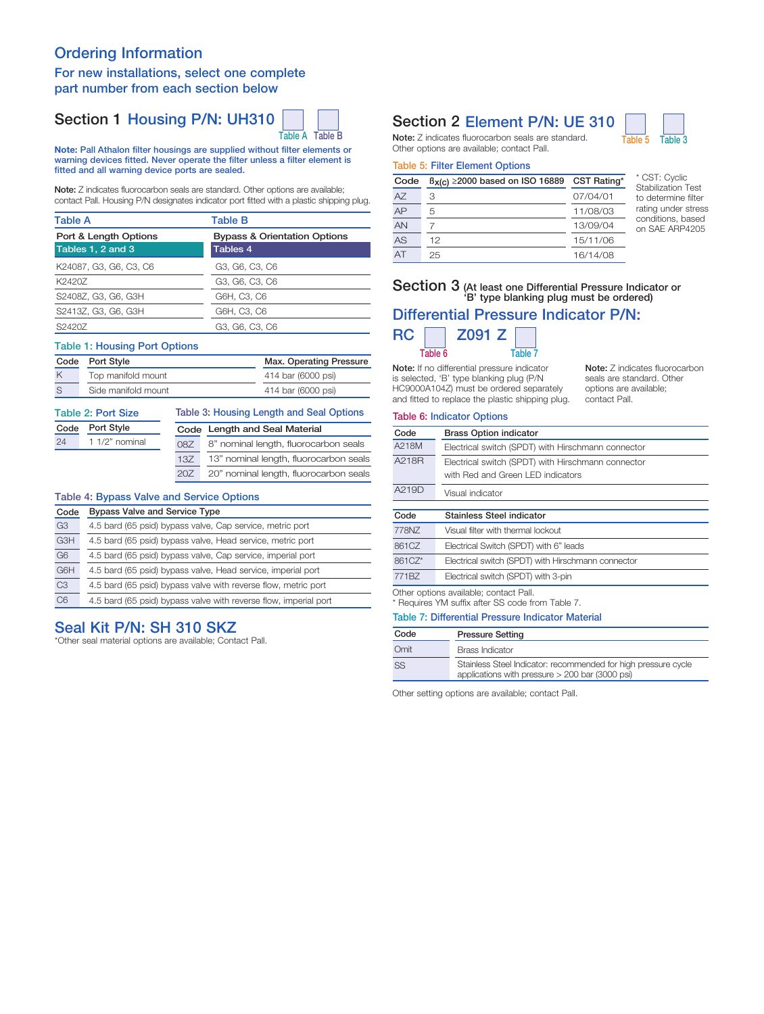# Ordering Information

## For new installations, select one complete part number from each section below

# Section 1 Housing P/N: UH310



Note: Pall Athalon filter housings are supplied without filter elements or warning devices fitted. Never operate the filter unless a filter element is fitted and all warning device ports are sealed.

Note: Z indicates fluorocarbon seals are standard. Other options are available; contact Pall. Housing P/N designates indicator port fitted with a plastic shipping plug.

| <b>Table A</b>         | <b>Table B</b>                          |  |  |
|------------------------|-----------------------------------------|--|--|
| Port & Length Options  | <b>Bypass &amp; Orientation Options</b> |  |  |
| Tables 1, 2 and 3      | Tables 4                                |  |  |
| K24087, G3, G6, C3, C6 | G3, G6, C3, C6                          |  |  |
| K2420Z                 | G3, G6, C3, C6                          |  |  |
| S2408Z, G3, G6, G3H    | G6H, C3, C6                             |  |  |
| S2413Z, G3, G6, G3H    | G6H, C3, C6                             |  |  |
| S2420Z                 | G3, G6, C3, C6                          |  |  |

#### Table 1: Housing Port Options

|   | Code Port Style     | Max. Operating Pressure |  |  |
|---|---------------------|-------------------------|--|--|
| K | Top manifold mount  | 414 bar (6000 psi)      |  |  |
| S | Side manifold mount | 414 bar (6000 psi)      |  |  |

| <b>Table 2: Port Size</b> |                  |     | Table 3: Housing Length and Seal Options |  |  |
|---------------------------|------------------|-----|------------------------------------------|--|--|
| Port Style<br>Code        |                  |     | Code Length and Seal Material            |  |  |
| 24                        | $11/2$ " nominal | 087 | 8" nominal length, fluorocarbon seals    |  |  |
|                           |                  | 13Z | 13" nominal length, fluorocarbon seals   |  |  |
|                           |                  | 20Z | 20" nominal length, fluorocarbon seals   |  |  |

#### Table 4: Bypass Valve and Service Options

| Code           | <b>Bypass Valve and Service Type</b>                             |  |  |  |
|----------------|------------------------------------------------------------------|--|--|--|
| G <sub>3</sub> | 4.5 bard (65 psid) bypass valve, Cap service, metric port        |  |  |  |
| G3H            | 4.5 bard (65 psid) bypass valve, Head service, metric port       |  |  |  |
| G <sub>6</sub> | 4.5 bard (65 psid) bypass valve, Cap service, imperial port      |  |  |  |
| G6H            | 4.5 bard (65 psid) bypass valve, Head service, imperial port     |  |  |  |
| C <sub>3</sub> | 4.5 bard (65 psid) bypass valve with reverse flow, metric port   |  |  |  |
| C6             | 4.5 bard (65 psid) bypass valve with reverse flow, imperial port |  |  |  |

# Seal Kit P/N: SH 310 SKZ

\*Other seal material options are available; Contact Pall.

# Section 2 Element P/N: UE 310

Note: Z indicates fluorocarbon seals are standard. Table 5 Table 3 Other options are available; contact Pall.

#### Table 5: Filter Element Options

| Code | $B_{X(C)} \ge 2000$ based on ISO 16889 | CST Rating* |
|------|----------------------------------------|-------------|
| A7   | З                                      | 07/04/01    |
| AP   | 5                                      | 11/08/03    |
| AN   |                                        | 13/09/04    |
| AS   | 12                                     | 15/11/06    |
| AT   | 25                                     | 16/14/08    |

\* CST: Cyclic Stabilization Test to determine filter rating under stress conditions, based on SAE ARP4205

# Section 3 (At least one Differential Pressure Indicator or 'B' type blanking plug must be ordered)

# Differential Pressure Indicator P/N:



Note: If no differential pressure indicator is selected, 'B' type blanking plug (P/N HC9000A104Z) must be ordered separately

and fitted to replace the plastic shipping plug.

Note: Z indicates fluorocarbon seals are standard. Other options are available; contact Pall.

## Table 6: Indicator Options

| Code   | <b>Brass Option indicator</b>                                                              |
|--------|--------------------------------------------------------------------------------------------|
| A218M  | Electrical switch (SPDT) with Hirschmann connector                                         |
| A218R  | Electrical switch (SPDT) with Hirschmann connector<br>with Red and Green LED indicators    |
| A219D  | Visual indicator                                                                           |
|        |                                                                                            |
| Code   | Stainless Steel indicator                                                                  |
| 778NZ  | Visual filter with thermal lockout                                                         |
| 861CZ  | Electrical Switch (SPDT) with 6" leads                                                     |
| 861CZ* | Electrical switch (SPDT) with Hirschmann connector                                         |
| 771BZ  | Electrical switch (SPDT) with 3-pin                                                        |
|        | Other options available; contact Pall.<br>* Requires YM suffix after SS code from Table 7. |

#### Table 7: Differential Pressure Indicator Material

| Code      | <b>Pressure Setting</b>                                                                                             |
|-----------|---------------------------------------------------------------------------------------------------------------------|
| Omit      | Brass Indicator                                                                                                     |
| <b>SS</b> | Stainless Steel Indicator: recommended for high pressure cycle<br>applications with pressure $>$ 200 bar (3000 psi) |

Other setting options are available; contact Pall.